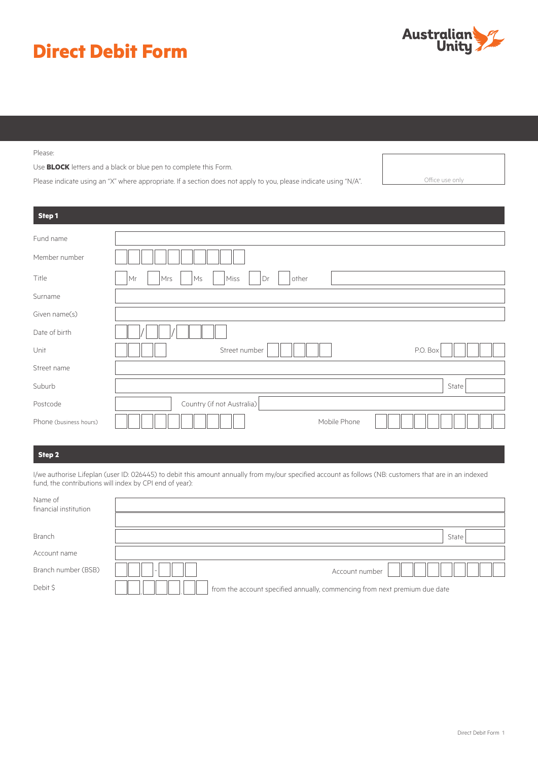# **Direct Debit Form**



Please:

Use **BLOCK** letters and a black or blue pen to complete this Form.

Please indicate using an "X" where appropriate. If a section does not apply to you, please indicate using "N/A". Office use only

| Step1                  |                                        |
|------------------------|----------------------------------------|
| Fund name              |                                        |
| Member number          |                                        |
| Title                  | other<br>Mrs<br>Ms<br>Miss<br>Dr<br>Mr |
| Surname                |                                        |
| Given name(s)          |                                        |
| Date of birth          |                                        |
| Unit                   | Street number<br>P.O. Box              |
| Street name            |                                        |
| Suburb                 | State                                  |
| Postcode               | Country (if not Australia)             |
| Phone (business hours) | Mobile Phone                           |

# **Step 2**

I/we authorise Lifeplan (user ID: 026445) to debit this amount annually from my/our specified account as follows (NB: customers that are in an indexed fund, the contributions will index by CPI end of year):

| Name of<br>financial institution |                                                                            |
|----------------------------------|----------------------------------------------------------------------------|
|                                  |                                                                            |
| Branch                           | State                                                                      |
| Account name                     |                                                                            |
| Branch number (BSB)              | Account number                                                             |
| Debit \$                         | from the account specified annually, commencing from next premium due date |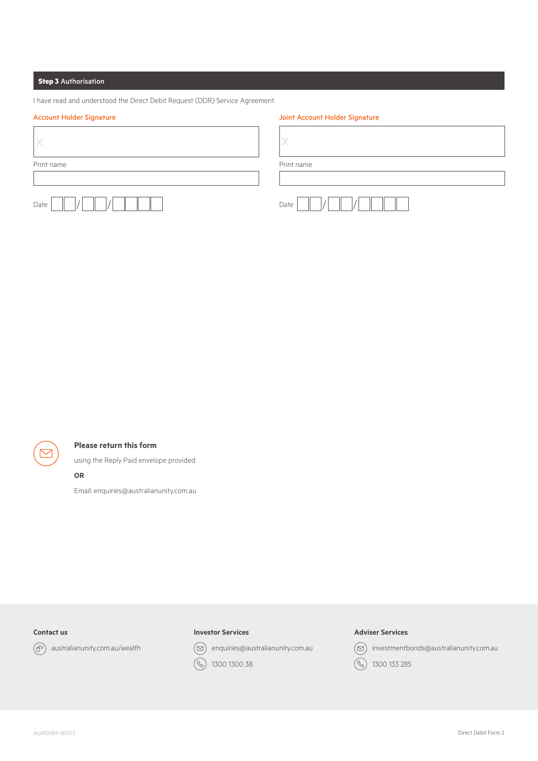# **Step 3** Authorisation

|  |  | I have read and understood the Direct Debit Request (DDR) Service Agreement. |  |  |
|--|--|------------------------------------------------------------------------------|--|--|
|  |  |                                                                              |  |  |

# Account Holder Signature and a series of the Joint Account Holder Signature

| Print name | Print name |
|------------|------------|
|            |            |
| Date       | Date       |



# **Please return this form**

using the Reply Paid envelope provided

#### **OR**

Email: enquiries@australianunity.com.au

# **Contact us**



 $\left(\widehat{\theta}^{0}\right)$  australianunity.com.au/wealth

# **Investor Services**

 $\circledcirc$  enquiries@australianunity.com.au

 $\bigcirc$ 1300 1300 38

# **Adviser Services**



 $\circledcirc$  investmentbonds@australianunity.com.au

1300 133 285